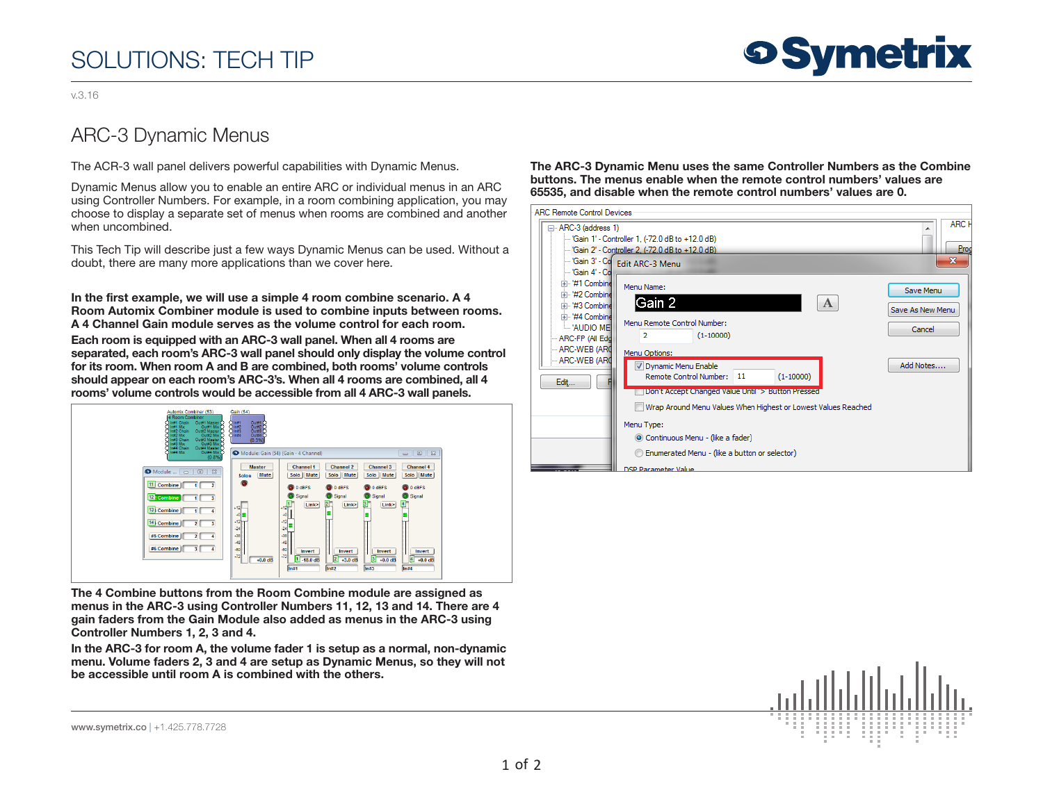## SOLUTIONS: TECH TIP

## **9 Symetrix**

v.3.16

## ARC-3 Dynamic Menus

The ACR-3 wall panel delivers powerful capabilities with Dynamic Menus.

Dynamic Menus allow you to enable an entire ARC or individual menus in an ARC using Controller Numbers. For example, in a room combining application, you may choose to display a separate set of menus when rooms are combined and another when uncombined.

This Tech Tip will describe just a few ways Dynamic Menus can be used. Without a doubt, there are many more applications than we cover here.

In the first example, we will use a simple 4 room combine scenario. A 4 Room Automix Combiner module is used to combine inputs between rooms. A 4 Channel Gain module serves as the volume control for each room.

Each room is equipped with an ARC-3 wall panel. When all 4 rooms are separated, each room's ARC-3 wall panel should only display the volume control for its room. When room A and B are combined, both rooms' volume controls should appear on each room's ARC-3's. When all 4 rooms are combined, all 4 rooms' volume controls would be accessible from all 4 ARC-3 wall panels.



The 4 Combine buttons from the Room Combine module are assigned as menus in the ARC-3 using Controller Numbers 11, 12, 13 and 14. There are 4 gain faders from the Gain Module also added as menus in the ARC-3 using Controller Numbers 1, 2, 3 and 4.

In the ARC-3 for room A, the volume fader 1 is setup as a normal, non-dynamic menu. Volume faders 2, 3 and 4 are setup as Dynamic Menus, so they will not be accessible until room A is combined with the others.

The ARC-3 Dynamic Menu uses the same Controller Numbers as the Combine buttons. The menus enable when the remote control numbers' values are 65535, and disable when the remote control numbers' values are 0.





www.symetrix.co | +1.425.778.7728